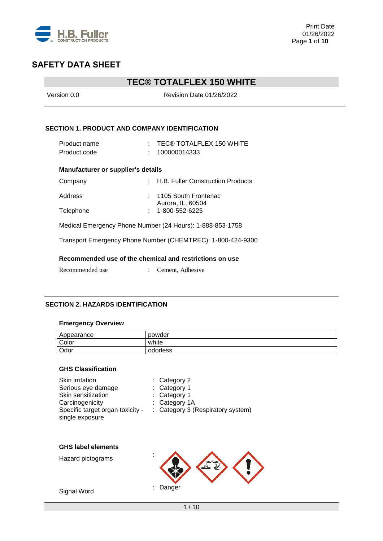

# **TEC® TOTALFLEX 150 WHITE**

| Version 0.0                               | Revision Date 01/26/2022                                                    |  |  |  |
|-------------------------------------------|-----------------------------------------------------------------------------|--|--|--|
|                                           | <b>SECTION 1. PRODUCT AND COMPANY IDENTIFICATION</b>                        |  |  |  |
| Product name                              | $\pm$ TEC® TOTALFLEX 150 WHITE                                              |  |  |  |
| Product code                              | 100000014333                                                                |  |  |  |
| <b>Manufacturer or supplier's details</b> |                                                                             |  |  |  |
| Company                                   | : H.B. Fuller Construction Products                                         |  |  |  |
| Address                                   | 1105 South Frontenac<br>Aurora, IL, 60504                                   |  |  |  |
| Telephone                                 | 1-800-552-6225                                                              |  |  |  |
|                                           | Medical Emergency Phone Number (24 Hours): 1-888-853-1758                   |  |  |  |
|                                           | Transport Emergency Phone Number (CHEMTREC): 1-800-424-9300                 |  |  |  |
| Recommended use                           | Recommended use of the chemical and restrictions on use<br>Cement, Adhesive |  |  |  |
|                                           |                                                                             |  |  |  |

## **SECTION 2. HAZARDS IDENTIFICATION**

## **Emergency Overview**

| Appearance | powder   |
|------------|----------|
| Color      | white    |
| Odor       | odorless |

### **GHS Classification**

| Skin irritation<br>Serious eye damage<br>Skin sensitization<br>Carcinogenicity<br>Specific target organ toxicity -<br>single exposure | Category 2<br>Category 1<br>Category 1<br>Category 1A<br>Category 3 (Respiratory system) |
|---------------------------------------------------------------------------------------------------------------------------------------|------------------------------------------------------------------------------------------|
| <b>GHS label elements</b><br>Hazard pictograms                                                                                        |                                                                                          |
| Signal Word                                                                                                                           | Danger                                                                                   |

1 / 10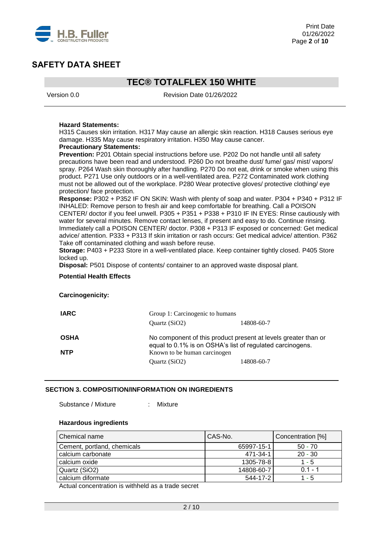

## **TEC® TOTALFLEX 150 WHITE**

Version 0.0 Revision Date 01/26/2022

#### **Hazard Statements:**

H315 Causes skin irritation. H317 May cause an allergic skin reaction. H318 Causes serious eye damage. H335 May cause respiratory irritation. H350 May cause cancer.

#### **Precautionary Statements:**

**Prevention:** P201 Obtain special instructions before use. P202 Do not handle until all safety precautions have been read and understood. P260 Do not breathe dust/ fume/ gas/ mist/ vapors/ spray. P264 Wash skin thoroughly after handling. P270 Do not eat, drink or smoke when using this product. P271 Use only outdoors or in a well-ventilated area. P272 Contaminated work clothing must not be allowed out of the workplace. P280 Wear protective gloves/ protective clothing/ eye protection/ face protection.

**Response:** P302 + P352 IF ON SKIN: Wash with plenty of soap and water. P304 + P340 + P312 IF INHALED: Remove person to fresh air and keep comfortable for breathing. Call a POISON CENTER/ doctor if you feel unwell. P305 + P351 + P338 + P310 IF IN EYES: Rinse cautiously with water for several minutes. Remove contact lenses, if present and easy to do. Continue rinsing. Immediately call a POISON CENTER/ doctor. P308 + P313 IF exposed or concerned: Get medical advice/ attention. P333 + P313 If skin irritation or rash occurs: Get medical advice/ attention. P362 Take off contaminated clothing and wash before reuse.

**Storage:** P403 + P233 Store in a well-ventilated place. Keep container tightly closed. P405 Store locked up.

**Disposal:** P501 Dispose of contents/ container to an approved waste disposal plant.

#### **Potential Health Effects**

#### **Carcinogenicity:**

| <b>IARC</b>               | Group 1: Carcinogenic to humans                                                                                             |            |
|---------------------------|-----------------------------------------------------------------------------------------------------------------------------|------------|
|                           | Ouartz $(SiO2)$                                                                                                             | 14808-60-7 |
| <b>OSHA</b><br><b>NTP</b> | No component of this product present at levels greater than or<br>equal to 0.1% is on OSHA's list of regulated carcinogens. |            |
|                           | Known to be human carcinogen<br>Quartz (SiO2)                                                                               | 14808-60-7 |
|                           |                                                                                                                             |            |

### **SECTION 3. COMPOSITION/INFORMATION ON INGREDIENTS**

Substance / Mixture : Mixture

## **Hazardous ingredients**

| <b>Chemical name</b>        | CAS-No.    | Concentration [%] |
|-----------------------------|------------|-------------------|
| Cement, portland, chemicals | 65997-15-1 | $50 - 70$         |
| calcium carbonate           | 471-34-1   | $20 - 30$         |
| calcium oxide               | 1305-78-8  | 1 - 5             |
| Quartz (SiO2)               | 14808-60-7 | $0.1 - 1$         |
| calcium diformate           | 544-17-2   | 1 - 5             |

Actual concentration is withheld as a trade secret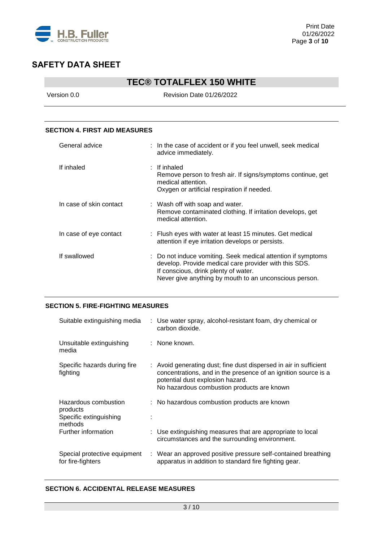

# **TEC® TOTALFLEX 150 WHITE**

Version 0.0 Revision Date 01/26/2022

### **SECTION 4. FIRST AID MEASURES**

| General advice          | : In the case of accident or if you feel unwell, seek medical<br>advice immediately.                                                                                                                                    |
|-------------------------|-------------------------------------------------------------------------------------------------------------------------------------------------------------------------------------------------------------------------|
| If inhaled              | $:$ If inhaled<br>Remove person to fresh air. If signs/symptoms continue, get<br>medical attention.<br>Oxygen or artificial respiration if needed.                                                                      |
| In case of skin contact | : Wash off with soap and water.<br>Remove contaminated clothing. If irritation develops, get<br>medical attention.                                                                                                      |
| In case of eye contact  | : Flush eyes with water at least 15 minutes. Get medical<br>attention if eye irritation develops or persists.                                                                                                           |
| If swallowed            | : Do not induce vomiting. Seek medical attention if symptoms<br>develop. Provide medical care provider with this SDS.<br>If conscious, drink plenty of water.<br>Never give anything by mouth to an unconscious person. |

### **SECTION 5. FIRE-FIGHTING MEASURES**

| Suitable extinguishing media                                          | : Use water spray, alcohol-resistant foam, dry chemical or<br>carbon dioxide.                                                                                                                                         |
|-----------------------------------------------------------------------|-----------------------------------------------------------------------------------------------------------------------------------------------------------------------------------------------------------------------|
| Unsuitable extinguishing<br>media                                     | : None known.                                                                                                                                                                                                         |
| Specific hazards during fire<br>fighting                              | : Avoid generating dust; fine dust dispersed in air in sufficient<br>concentrations, and in the presence of an ignition source is a<br>potential dust explosion hazard.<br>No hazardous combustion products are known |
| Hazardous combustion<br>products<br>Specific extinguishing<br>methods | : No hazardous combustion products are known                                                                                                                                                                          |
| Further information                                                   | : Use extinguishing measures that are appropriate to local<br>circumstances and the surrounding environment.                                                                                                          |
| Special protective equipment<br>for fire-fighters                     | : Wear an approved positive pressure self-contained breathing<br>apparatus in addition to standard fire fighting gear.                                                                                                |

### **SECTION 6. ACCIDENTAL RELEASE MEASURES**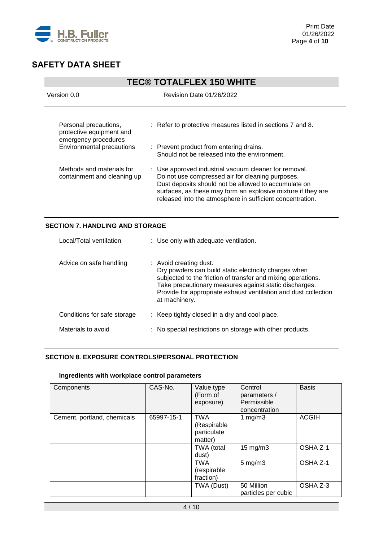

|                                                                                                               | <b>TEC® TOTALFLEX 150 WHITE</b>                                                                                                                                                                                                                                                                |  |  |
|---------------------------------------------------------------------------------------------------------------|------------------------------------------------------------------------------------------------------------------------------------------------------------------------------------------------------------------------------------------------------------------------------------------------|--|--|
| Version 0.0                                                                                                   | Revision Date 01/26/2022                                                                                                                                                                                                                                                                       |  |  |
| Personal precautions,<br>protective equipment and<br>emergency procedures<br><b>Environmental precautions</b> | : Refer to protective measures listed in sections 7 and 8.<br>: Prevent product from entering drains.<br>Should not be released into the environment.                                                                                                                                          |  |  |
| Methods and materials for<br>containment and cleaning up                                                      | : Use approved industrial vacuum cleaner for removal.<br>Do not use compressed air for cleaning purposes.<br>Dust deposits should not be allowed to accumulate on<br>surfaces, as these may form an explosive mixture if they are<br>released into the atmosphere in sufficient concentration. |  |  |

## **SECTION 7. HANDLING AND STORAGE**

| Local/Total ventilation     | : Use only with adequate ventilation.                                                                                                                                                                                                                                                         |
|-----------------------------|-----------------------------------------------------------------------------------------------------------------------------------------------------------------------------------------------------------------------------------------------------------------------------------------------|
| Advice on safe handling     | : Avoid creating dust.<br>Dry powders can build static electricity charges when<br>subjected to the friction of transfer and mixing operations.<br>Take precautionary measures against static discharges.<br>Provide for appropriate exhaust ventilation and dust collection<br>at machinery. |
| Conditions for safe storage | : Keep tightly closed in a dry and cool place.                                                                                                                                                                                                                                                |
| Materials to avoid          | : No special restrictions on storage with other products.                                                                                                                                                                                                                                     |

## **SECTION 8. EXPOSURE CONTROLS/PERSONAL PROTECTION**

#### **Ingredients with workplace control parameters**

| Components                  | CAS-No.    | Value type<br>(Form of<br>exposure)                 | Control<br>parameters /<br>Permissible<br>concentration | <b>Basis</b> |
|-----------------------------|------------|-----------------------------------------------------|---------------------------------------------------------|--------------|
| Cement, portland, chemicals | 65997-15-1 | <b>TWA</b><br>(Respirable<br>particulate<br>matter) | 1 $mg/m3$                                               | <b>ACGIH</b> |
|                             |            | TWA (total<br>dust)                                 | $15 \text{ mg/m}$                                       | OSHA Z-1     |
|                             |            | <b>TWA</b><br>(respirable<br>fraction)              | $5 \text{ mg/m}$ 3                                      | OSHA Z-1     |
|                             |            | TWA (Dust)                                          | 50 Million<br>particles per cubic                       | OSHA Z-3     |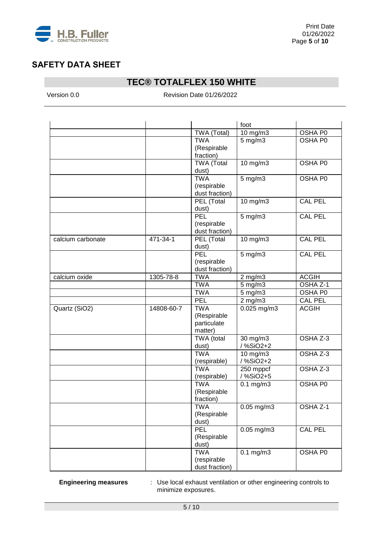

# **TEC® TOTALFLEX 150 WHITE**

Version 0.0 **Revision Date 01/26/2022** 

|                   |            |                     | foot            |                     |
|-------------------|------------|---------------------|-----------------|---------------------|
|                   |            | TWA (Total)         | 10 mg/m3        | OSHA P0             |
|                   |            | <b>TWA</b>          | $5$ mg/m $3$    | OSHA P0             |
|                   |            | (Respirable         |                 |                     |
|                   |            | fraction)           |                 |                     |
|                   |            | <b>TWA (Total</b>   | 10 mg/m3        | OSHA P0             |
|                   |            | dust)               |                 |                     |
|                   |            | <b>TWA</b>          | $5$ mg/m $3$    | OSHA P0             |
|                   |            | (respirable         |                 |                     |
|                   |            | dust fraction)      |                 |                     |
|                   |            | PEL (Total<br>dust) | 10 mg/m3        | <b>CAL PEL</b>      |
|                   |            | PEL                 | 5 mg/m3         | <b>CAL PEL</b>      |
|                   |            | (respirable         |                 |                     |
|                   |            | dust fraction)      |                 |                     |
| calcium carbonate | 471-34-1   | PEL (Total          | 10 mg/m3        | <b>CAL PEL</b>      |
|                   |            | dust)               |                 |                     |
|                   |            | PEL                 | $5$ mg/m $3$    | <b>CAL PEL</b>      |
|                   |            | (respirable         |                 |                     |
|                   |            | dust fraction)      |                 |                     |
| calcium oxide     | 1305-78-8  | <b>TWA</b>          | $2$ mg/m $3$    | <b>ACGIH</b>        |
|                   |            | <b>TWA</b>          | $5$ mg/m $3$    | OSHA Z-1            |
|                   |            | <b>TWA</b>          | $5$ mg/m $3$    | OSHA P0             |
|                   |            | PEL                 | $2$ mg/m $3$    | <b>CAL PEL</b>      |
| Quartz (SiO2)     | 14808-60-7 | <b>TWA</b>          | $0.025$ mg/m3   | <b>ACGIH</b>        |
|                   |            | (Respirable         |                 |                     |
|                   |            | particulate         |                 |                     |
|                   |            | matter)             |                 |                     |
|                   |            | TWA (total          | 30 mg/m3        | OSHA Z-3            |
|                   |            | dust)               | / %SiO2+2       |                     |
|                   |            | <b>TWA</b>          | 10 mg/m3        | OSHA Z-3            |
|                   |            | (respirable)        | /%SiO2+2        |                     |
|                   |            | <b>TWA</b>          | 250 mppcf       | OSHA Z-3            |
|                   |            | (respirable)        | /%SiO2+5        |                     |
|                   |            | <b>TWA</b>          | $0.1$ mg/m $3$  | OSHA P0             |
|                   |            | (Respirable         |                 |                     |
|                   |            | fraction)           |                 |                     |
|                   |            | TWA                 | $0.05$ mg/m3    | OSHA <sub>Z-1</sub> |
|                   |            | (Respirable         |                 |                     |
|                   |            | dust)               |                 |                     |
|                   |            | PEL                 | $0.05$ mg/m $3$ | <b>CAL PEL</b>      |
|                   |            | (Respirable         |                 |                     |
|                   |            | dust)               |                 |                     |
|                   |            | <b>TWA</b>          | $0.1$ mg/m $3$  | OSHA P0             |
|                   |            | (respirable         |                 |                     |
|                   |            | dust fraction)      |                 |                     |

**Engineering measures** : Use local exhaust ventilation or other engineering controls to minimize exposures.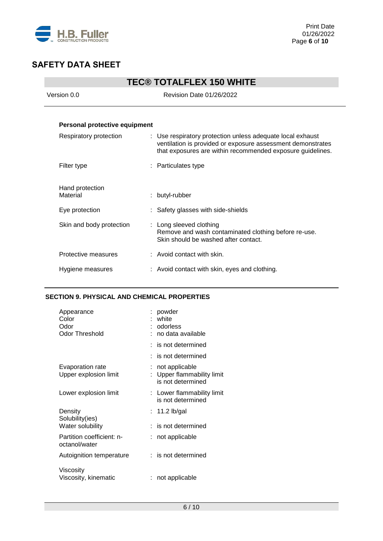

| <b>TEC® TOTALFLEX 150 WHITE</b> |                                                                                                                                                                                         |  |  |
|---------------------------------|-----------------------------------------------------------------------------------------------------------------------------------------------------------------------------------------|--|--|
| Version 0.0                     | Revision Date 01/26/2022                                                                                                                                                                |  |  |
|                                 |                                                                                                                                                                                         |  |  |
| Personal protective equipment   |                                                                                                                                                                                         |  |  |
| Respiratory protection          | : Use respiratory protection unless adequate local exhaust<br>ventilation is provided or exposure assessment demonstrates<br>that exposures are within recommended exposure guidelines. |  |  |
| Filter type                     | : Particulates type                                                                                                                                                                     |  |  |
| Hand protection<br>Material     | : butyl-rubber                                                                                                                                                                          |  |  |
| Eye protection                  | : Safety glasses with side-shields                                                                                                                                                      |  |  |
| Skin and body protection        | : Long sleeved clothing<br>Remove and wash contaminated clothing before re-use.<br>Skin should be washed after contact.                                                                 |  |  |
| Protective measures             | : Avoid contact with skin.                                                                                                                                                              |  |  |
| Hygiene measures                | : Avoid contact with skin, eyes and clothing.                                                                                                                                           |  |  |

## **SECTION 9. PHYSICAL AND CHEMICAL PROPERTIES**

| Appearance<br>Color<br>Odor<br><b>Odor Threshold</b> |    | powder<br>white<br>odorless<br>no data available                |
|------------------------------------------------------|----|-----------------------------------------------------------------|
|                                                      |    | $:$ is not determined                                           |
|                                                      |    | $:$ is not determined                                           |
| Evaporation rate<br>Upper explosion limit            | t. | not applicable<br>Upper flammability limit<br>is not determined |
| Lower explosion limit                                |    | : Lower flammability limit<br>is not determined                 |
| Density<br>Solubility(ies)                           |    | $: 11.2$ lb/gal                                                 |
| Water solubility                                     |    | $:$ is not determined                                           |
| Partition coefficient: n-<br>octanol/water           |    | not applicable                                                  |
| Autoignition temperature                             |    | $:$ is not determined                                           |
| Viscosity<br>Viscosity, kinematic                    |    | : not applicable                                                |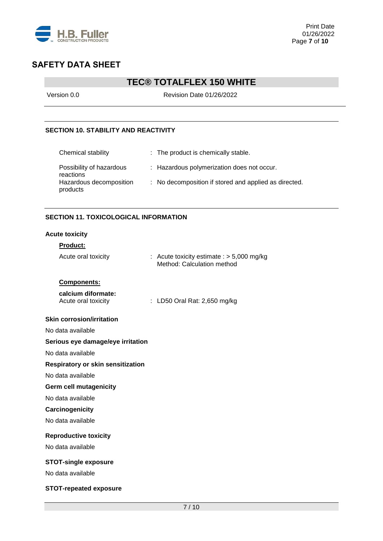

# **TEC® TOTALFLEX 150 WHITE**

Version 0.0 Revision Date 01/26/2022

## **SECTION 10. STABILITY AND REACTIVITY**

| Chemical stability                    | : The product is chemically stable.                   |
|---------------------------------------|-------------------------------------------------------|
| Possibility of hazardous<br>reactions | : Hazardous polymerization does not occur.            |
| Hazardous decomposition<br>products   | : No decomposition if stored and applied as directed. |

## **SECTION 11. TOXICOLOGICAL INFORMATION**

#### **Acute toxicity**

## **Product:**

| Acute oral toxicity                       | : Acute toxicity estimate : $> 5,000$ mg/kg<br>Method: Calculation method |
|-------------------------------------------|---------------------------------------------------------------------------|
| Components:                               |                                                                           |
| calcium diformate:<br>Acute oral toxicity | : LD50 Oral Rat: 2,650 mg/kg                                              |
| <b>Skin corrosion/irritation</b>          |                                                                           |
| No data available                         |                                                                           |
| Serious eye damage/eye irritation         |                                                                           |
| No data available                         |                                                                           |
| Respiratory or skin sensitization         |                                                                           |
| No data available                         |                                                                           |
| <b>Germ cell mutagenicity</b>             |                                                                           |
| No data available                         |                                                                           |
| Carcinogenicity                           |                                                                           |
| No data available                         |                                                                           |
| <b>Reproductive toxicity</b>              |                                                                           |
| No data available                         |                                                                           |
| <b>STOT-single exposure</b>               |                                                                           |
| No data available                         |                                                                           |
| <b>STOT-repeated exposure</b>             |                                                                           |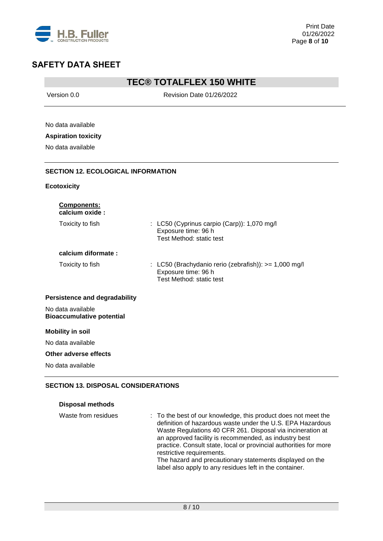

## **TEC® TOTALFLEX 150 WHITE**

Version 0.0 **Revision Date 01/26/2022** No data available **Aspiration toxicity** No data available **SECTION 12. ECOLOGICAL INFORMATION Ecotoxicity Components: calcium oxide :** Toxicity to fish : LC50 (Cyprinus carpio (Carp)): 1,070 mg/l Exposure time: 96 h Test Method: static test

## **calcium diformate :**

Toxicity to fish : LC50 (Brachydanio rerio (zebrafish)): >= 1,000 mg/l Exposure time: 96 h Test Method: static test

#### **Persistence and degradability**

No data available **Bioaccumulative potential**

#### **Mobility in soil**

No data available

#### **Other adverse effects**

No data available

## **SECTION 13. DISPOSAL CONSIDERATIONS**

| <b>Disposal methods</b> |
|-------------------------|
|                         |

| Waste from residues | : To the best of our knowledge, this product does not meet the<br>definition of hazardous waste under the U.S. EPA Hazardous<br>Waste Regulations 40 CFR 261. Disposal via incineration at<br>an approved facility is recommended, as industry best |
|---------------------|-----------------------------------------------------------------------------------------------------------------------------------------------------------------------------------------------------------------------------------------------------|
|                     | practice. Consult state, local or provincial authorities for more<br>restrictive requirements.                                                                                                                                                      |
|                     | The hazard and precautionary statements displayed on the<br>label also apply to any residues left in the container.                                                                                                                                 |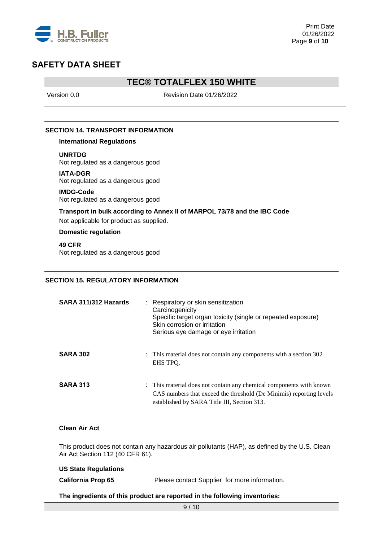

## **TEC® TOTALFLEX 150 WHITE**

Version 0.0 **Revision Date 01/26/2022** 

### **SECTION 14. TRANSPORT INFORMATION**

**International Regulations**

**UNRTDG**

Not regulated as a dangerous good

**IATA-DGR** Not regulated as a dangerous good

**IMDG-Code** Not regulated as a dangerous good

**Transport in bulk according to Annex II of MARPOL 73/78 and the IBC Code**

Not applicable for product as supplied.

**Domestic regulation**

**49 CFR** Not regulated as a dangerous good

### **SECTION 15. REGULATORY INFORMATION**

| SARA 311/312 Hazards | : Respiratory or skin sensitization<br>Carcinogenicity<br>Specific target organ toxicity (single or repeated exposure)<br>Skin corrosion or irritation<br>Serious eye damage or eye irritation |
|----------------------|------------------------------------------------------------------------------------------------------------------------------------------------------------------------------------------------|
| <b>SARA 302</b>      | : This material does not contain any components with a section 302<br>EHS TPO.                                                                                                                 |
| <b>SARA 313</b>      | : This material does not contain any chemical components with known<br>CAS numbers that exceed the threshold (De Minimis) reporting levels<br>established by SARA Title III, Section 313.      |

### **Clean Air Act**

This product does not contain any hazardous air pollutants (HAP), as defined by the U.S. Clean Air Act Section 112 (40 CFR 61).

| <b>US State Regulations</b> |                                               |
|-----------------------------|-----------------------------------------------|
| <b>California Prop 65</b>   | Please contact Supplier for more information. |
|                             |                                               |

**The ingredients of this product are reported in the following inventories:**